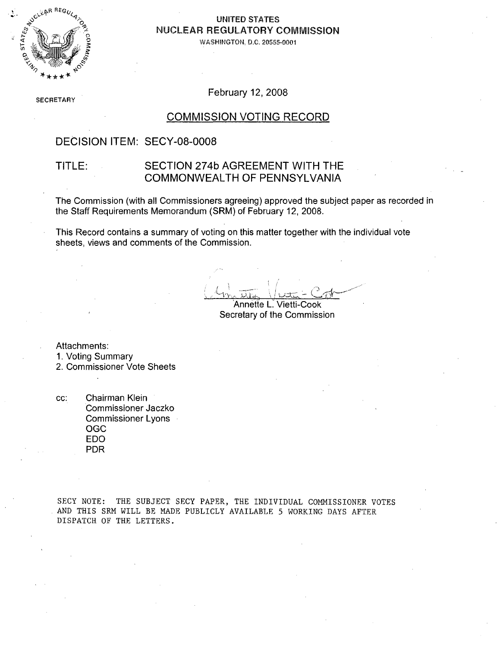

### **UNITED STATES** NUCLEAR REGULATORY COMMISSION

WASHINGTON. D.C. 20555-0001

**SECRETARY** 

February 12, 2008

#### COMMISSION VOTING RECORD

### DECISION ITEM: SECY-08-0008

### TITLE: SECTION 274b AGREEMENT WITH THE COMMONWEALTH OF PENNSYLVANIA

The Commission (with all Commissioners agreeing) approved the subject paper as recorded in the Staff Requirements Memorandum (SRM) of February 12, 2008.

This Record contains a summary of voting on this matter together with the individual vote sheets, views and comments of the Commission.

Annette L. Vietti-Cook Secretary of the Commission

Attachments:

1. Voting Summary

2. Commissioner Vote Sheets

cc: Chairman Klein Commissioner Jaczko Commissioner Lyons **OGC** EDO PDR

SECY NOTE: THE SUBJECT SECY PAPER, THE INDIVIDUAL COMMISSIONER VOTES AND THIS SRM WILL BE MADE PUBLICLY AVAILABLE 5 WORKING DAYS AFTER DISPATCH OF THE LETTERS.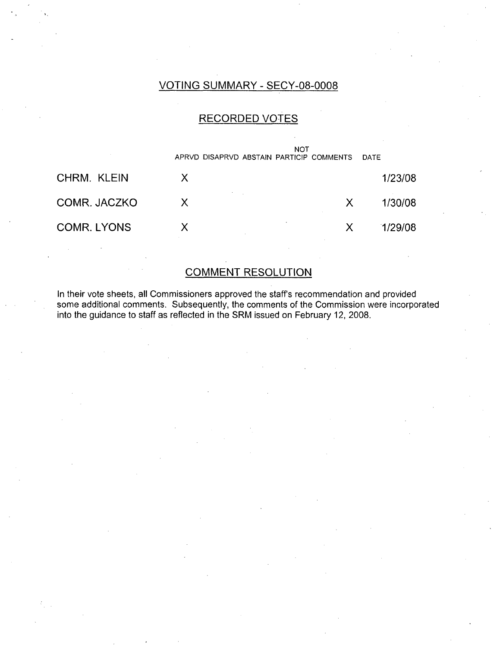### VOTING SUMMARY - SECY-08-0008

### RECORDED VOTES



### COMMENT RESOLUTION

In their vote sheets, all Commissioners approved the staff's recommendation and provided some additional comments. Subsequently, the comments of the Commission were incorporated into the guidance to staff as reflected in the SRM issued on February 12, 2008.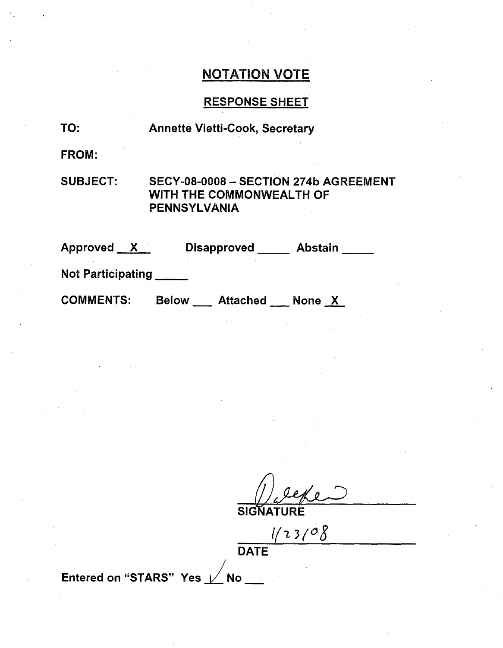# NOTATION VOTE

## RESPONSE SHEET

| TO:                      | <b>Annette Vietti-Cook, Secretary</b>                                             |  |  |  |  |
|--------------------------|-----------------------------------------------------------------------------------|--|--|--|--|
| <b>FROM:</b>             |                                                                                   |  |  |  |  |
| <b>SUBJECT:</b>          | SECY-08-0008 - SECTION 274b AGREEMENT<br>WITH THE COMMONWEALTH OF<br>PENNSYLVANIA |  |  |  |  |
| Approved X               | Disapproved _____ Abstain _____                                                   |  |  |  |  |
| <b>Not Participating</b> |                                                                                   |  |  |  |  |
| <b>COMMENTS:</b>         | Below Attached None X                                                             |  |  |  |  |

**SIGNATURE**

*V~ -3(/08*

DATE

Entered on "STARS" Yes  $\nu$  No  $\blacksquare$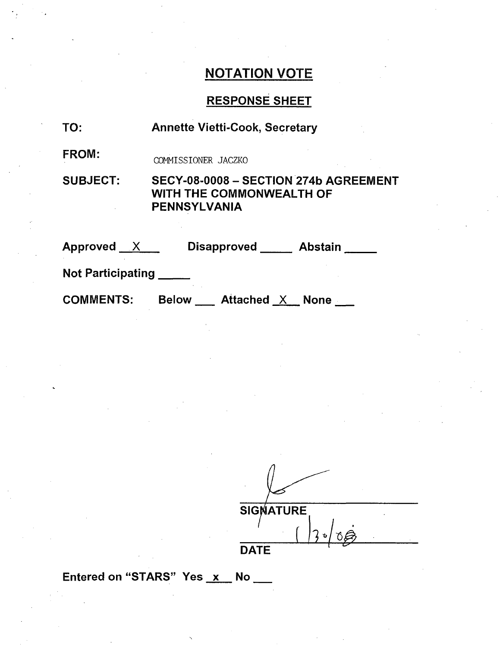# NOTATION VOTE

# RESPONSE SHEET

| TO:                      | <b>Annette Vietti-Cook, Secretary</b>                                                           |  |  |  |
|--------------------------|-------------------------------------------------------------------------------------------------|--|--|--|
| <b>FROM:</b>             | COMMISSIONER JACZKO                                                                             |  |  |  |
| <b>SUBJECT:</b>          | SECY-08-0008 - SECTION 274b AGREEMENT<br><b>WITH THE COMMONWEALTH OF</b><br><b>PENNSYLVANIA</b> |  |  |  |
| Approved $X$             | <b>Disapproved</b><br><b>Abstain</b>                                                            |  |  |  |
| <b>Not Participating</b> |                                                                                                 |  |  |  |
| <b>COMMENTS:</b>         | <b>Below</b><br><b>Attached X None</b>                                                          |  |  |  |

|             | <b>SIGNATURE</b> |   |  |  |
|-------------|------------------|---|--|--|
|             |                  | ъ |  |  |
| <b>DATE</b> |                  |   |  |  |

Entered on "STARS" Yes x No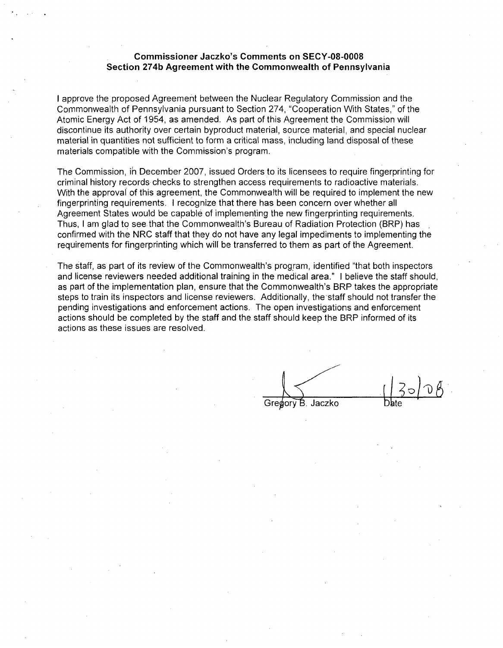#### Commissioner Jaczko's Comments on **SECY-08-0008** Section **274b** Agreement with the Commonwealth of Pennsylvania

I approve the proposed Agreement between the Nuclear Regulatory Commission and the Commonwealth of Pennsylvania pursuant to Section 274, "Cooperation With States," of the Atomic Energy Act of 1954, as amended. As part of this Agreement the Commission will discontinue its authority over certain byproduct material, source material, and special nuclear material in quantities not sufficient to form a critical mass, including land disposal of these materials compatible with the Commission's program.

The Commission, ih December 2007, issued Orders to its licensees to require fingerprinting for criminal history records checks to strengthen access requirements to radioactive materials. With the approval of this agreement, the Commonwealth will be required to implement the new fingerprinting requirements. I recognize that there has been concern over whether all Agreement States would be capable of implementing the new fingerprinting requirements. Thus, I am glad to see that the Commonwealth's Bureau of Radiation Protection (BRP) has confirmed with the NRC staff that they do not have any legal impediments to implementing the requirements for fingerprinting which will be transferred to them as part of the Agreement.

The staff, as part of its review of the Commonwealth's program, identified "that both inspectors and license reviewers needed additional training in the medical area." I believe the staff should, as part of the implementation plan, ensure that the Commonwealth's BRP takes the appropriate steps to train its inspectors and license reviewers. Additionally, the 'staff should not transfer the pending investigations and enforcement actions. The open investigations and enforcement actions should be completed by the staff and the staff should keep the BRP informed of its actions as these issues are resolved.

Jaczko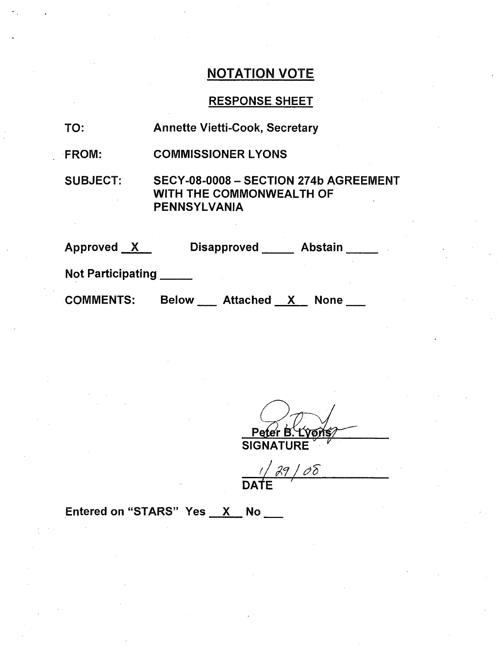## NOTATION VOTE

## RESPONSE SHEET

- TO: Annette Vietti-Cook, Secretary
- FROM: COMMISSIONER LYONS

SUBJECT: SECY-08-0008 - SECTION 274b AGREEMENT WITH THE COMMONWEALTH OF PENNSYLVANIA

| Approved                 | <b>Disapproved</b>                       | <b>Abstain</b> |
|--------------------------|------------------------------------------|----------------|
| <b>Not Participating</b> |                                          |                |
| <b>COMMENTS:</b>         | <b>Below</b><br>Attached<br>$\mathbf{X}$ | <b>None</b>    |

**SIGNATURE** 

 $29/00$ **DATE**

Entered on "STARS" Yes X No